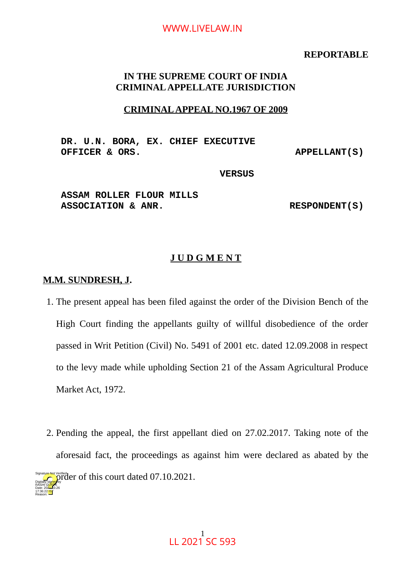#### **REPORTABLE**

## **IN THE SUPREME COURT OF INDIA CRIMINAL APPELLATE JURISDICTION**

#### **CRIMINAL APPEAL NO.1967 OF 2009**

**DR. U.N. BORA, EX. CHIEF EXECUTIVE OFFICER & ORS. APPELLANT(S)**

#### **VERSUS**

### **ASSAM ROLLER FLOUR MILLS**  ASSOCIATION & ANR. RESPONDENT(S)

### **J U D G M E N T**

#### **M.M. SUNDRESH, J.**

Reason:

- 1. The present appeal has been filed against the order of the Division Bench of the High Court finding the appellants guilty of willful disobedience of the order passed in Writ Petition (Civil) No. 5491 of 2001 etc. dated 12.09.2008 in respect to the levy made while upholding Section 21 of the Assam Agricultural Produce Market Act, 1972.
- 2. Pending the appeal, the first appellant died on 27.02.2017. Taking note of the aforesaid fact, the proceedings as against him were declared as abated by the  $\sum_{n=1}^{Signatively  
of the top.}$  order of this court dated 07.10.2021. Digitally signed by RASHI G<mark>UPT</mark>A Date: 2024.10.26 17:36:22 IST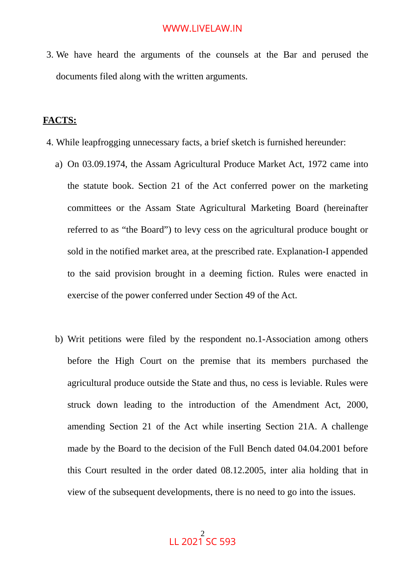3. We have heard the arguments of the counsels at the Bar and perused the documents filed along with the written arguments.

#### **FACTS:**

- 4. While leapfrogging unnecessary facts, a brief sketch is furnished hereunder:
	- a) On 03.09.1974, the Assam Agricultural Produce Market Act, 1972 came into the statute book. Section 21 of the Act conferred power on the marketing committees or the Assam State Agricultural Marketing Board (hereinafter referred to as "the Board") to levy cess on the agricultural produce bought or sold in the notified market area, at the prescribed rate. Explanation-I appended to the said provision brought in a deeming fiction. Rules were enacted in exercise of the power conferred under Section 49 of the Act.
	- b) Writ petitions were filed by the respondent no.1-Association among others before the High Court on the premise that its members purchased the agricultural produce outside the State and thus, no cess is leviable. Rules were struck down leading to the introduction of the Amendment Act, 2000, amending Section 21 of the Act while inserting Section 21A. A challenge made by the Board to the decision of the Full Bench dated 04.04.2001 before this Court resulted in the order dated 08.12.2005, inter alia holding that in view of the subsequent developments, there is no need to go into the issues.

2 LL 2021 SC 593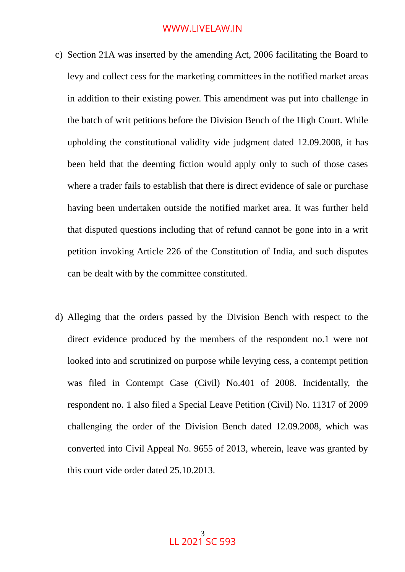- c) Section 21A was inserted by the amending Act, 2006 facilitating the Board to levy and collect cess for the marketing committees in the notified market areas in addition to their existing power. This amendment was put into challenge in the batch of writ petitions before the Division Bench of the High Court. While upholding the constitutional validity vide judgment dated 12.09.2008, it has been held that the deeming fiction would apply only to such of those cases where a trader fails to establish that there is direct evidence of sale or purchase having been undertaken outside the notified market area. It was further held that disputed questions including that of refund cannot be gone into in a writ petition invoking Article 226 of the Constitution of India, and such disputes can be dealt with by the committee constituted.
- d) Alleging that the orders passed by the Division Bench with respect to the direct evidence produced by the members of the respondent no.1 were not looked into and scrutinized on purpose while levying cess, a contempt petition was filed in Contempt Case (Civil) No.401 of 2008. Incidentally, the respondent no. 1 also filed a Special Leave Petition (Civil) No. 11317 of 2009 challenging the order of the Division Bench dated 12.09.2008, which was converted into Civil Appeal No. 9655 of 2013, wherein, leave was granted by this court vide order dated 25.10.2013.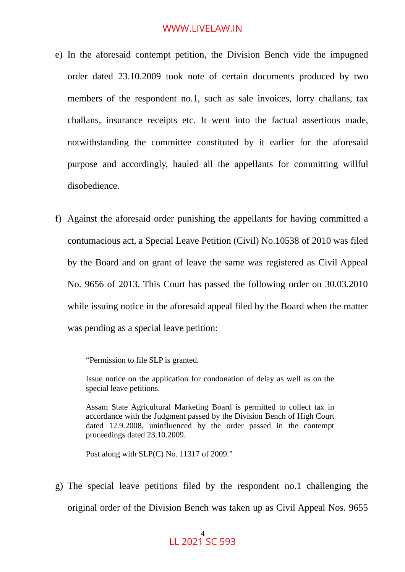- e) In the aforesaid contempt petition, the Division Bench vide the impugned order dated 23.10.2009 took note of certain documents produced by two members of the respondent no.1, such as sale invoices, lorry challans, tax challans, insurance receipts etc. It went into the factual assertions made, notwithstanding the committee constituted by it earlier for the aforesaid purpose and accordingly, hauled all the appellants for committing willful disobedience.
- f) Against the aforesaid order punishing the appellants for having committed a contumacious act, a Special Leave Petition (Civil) No.10538 of 2010 was filed by the Board and on grant of leave the same was registered as Civil Appeal No. 9656 of 2013. This Court has passed the following order on 30.03.2010 while issuing notice in the aforesaid appeal filed by the Board when the matter was pending as a special leave petition:

"Permission to file SLP is granted.

Issue notice on the application for condonation of delay as well as on the special leave petitions.

Assam State Agricultural Marketing Board is permitted to collect tax in accordance with the Judgment passed by the Division Bench of High Court dated 12.9.2008, uninfluenced by the order passed in the contempt proceedings dated 23.10.2009.

Post along with SLP(C) No. 11317 of 2009."

g) The special leave petitions filed by the respondent no.1 challenging the original order of the Division Bench was taken up as Civil Appeal Nos. 9655

#### 4 LL 2021 SC 593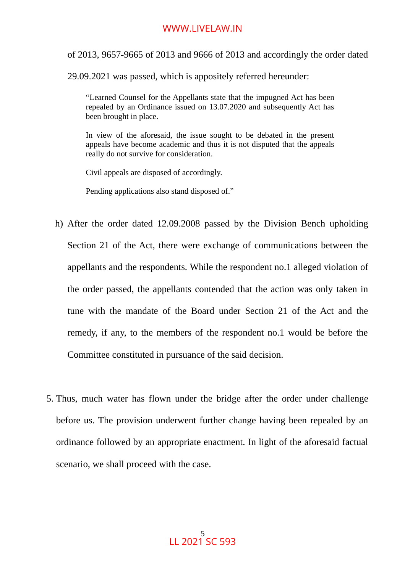of 2013, 9657-9665 of 2013 and 9666 of 2013 and accordingly the order dated

29.09.2021 was passed, which is appositely referred hereunder:

"Learned Counsel for the Appellants state that the impugned Act has been repealed by an Ordinance issued on 13.07.2020 and subsequently Act has been brought in place.

In view of the aforesaid, the issue sought to be debated in the present appeals have become academic and thus it is not disputed that the appeals really do not survive for consideration.

Civil appeals are disposed of accordingly.

Pending applications also stand disposed of."

- h) After the order dated 12.09.2008 passed by the Division Bench upholding Section 21 of the Act, there were exchange of communications between the appellants and the respondents. While the respondent no.1 alleged violation of the order passed, the appellants contended that the action was only taken in tune with the mandate of the Board under Section 21 of the Act and the remedy, if any, to the members of the respondent no.1 would be before the Committee constituted in pursuance of the said decision.
- 5. Thus, much water has flown under the bridge after the order under challenge before us. The provision underwent further change having been repealed by an ordinance followed by an appropriate enactment. In light of the aforesaid factual scenario, we shall proceed with the case.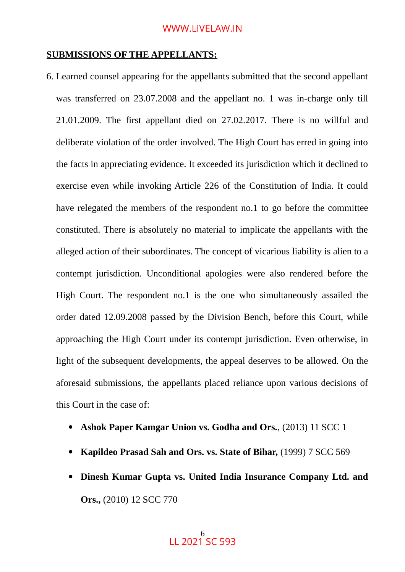#### **SUBMISSIONS OF THE APPELLANTS:**

- 6. Learned counsel appearing for the appellants submitted that the second appellant was transferred on 23.07.2008 and the appellant no. 1 was in-charge only till 21.01.2009. The first appellant died on 27.02.2017. There is no willful and deliberate violation of the order involved. The High Court has erred in going into the facts in appreciating evidence. It exceeded its jurisdiction which it declined to exercise even while invoking Article 226 of the Constitution of India. It could have relegated the members of the respondent no.1 to go before the committee constituted. There is absolutely no material to implicate the appellants with the alleged action of their subordinates. The concept of vicarious liability is alien to a contempt jurisdiction. Unconditional apologies were also rendered before the High Court. The respondent no.1 is the one who simultaneously assailed the order dated 12.09.2008 passed by the Division Bench, before this Court, while approaching the High Court under its contempt jurisdiction. Even otherwise, in light of the subsequent developments, the appeal deserves to be allowed. On the aforesaid submissions, the appellants placed reliance upon various decisions of this Court in the case of:
	- **Ashok Paper Kamgar Union vs. Godha and Ors.**, (2013) 11 SCC 1
	- **Kapildeo Prasad Sah and Ors. vs. State of Bihar,** (1999) 7 SCC 569
	- **Dinesh Kumar Gupta vs. United India Insurance Company Ltd. and Ors.,** (2010) 12 SCC 770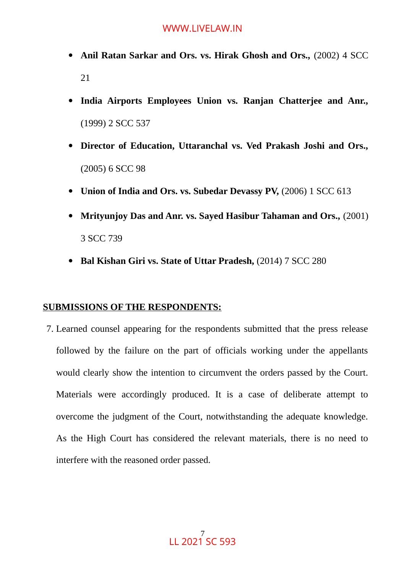- **Anil Ratan Sarkar and Ors. vs. Hirak Ghosh and Ors.,** (2002) 4 SCC 21
- **India Airports Employees Union vs. Ranjan Chatterjee and Anr.,** (1999) 2 SCC 537
- **Director of Education, Uttaranchal vs. Ved Prakash Joshi and Ors.,** (2005) 6 SCC 98
- **Union of India and Ors. vs. Subedar Devassy PV,** (2006) 1 SCC 613
- **Mrityunjoy Das and Anr. vs. Sayed Hasibur Tahaman and Ors.,** (2001) 3 SCC 739
- **Bal Kishan Giri vs. State of Uttar Pradesh,** (2014) 7 SCC 280

#### **SUBMISSIONS OF THE RESPONDENTS:**

7. Learned counsel appearing for the respondents submitted that the press release followed by the failure on the part of officials working under the appellants would clearly show the intention to circumvent the orders passed by the Court. Materials were accordingly produced. It is a case of deliberate attempt to overcome the judgment of the Court, notwithstanding the adequate knowledge. As the High Court has considered the relevant materials, there is no need to interfere with the reasoned order passed.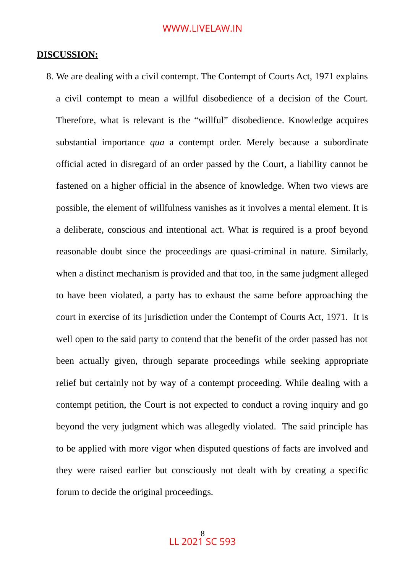#### **DISCUSSION:**

8. We are dealing with a civil contempt. The Contempt of Courts Act, 1971 explains a civil contempt to mean a willful disobedience of a decision of the Court. Therefore, what is relevant is the "willful" disobedience. Knowledge acquires substantial importance *qua* a contempt order. Merely because a subordinate official acted in disregard of an order passed by the Court, a liability cannot be fastened on a higher official in the absence of knowledge. When two views are possible, the element of willfulness vanishes as it involves a mental element. It is a deliberate, conscious and intentional act. What is required is a proof beyond reasonable doubt since the proceedings are quasi-criminal in nature. Similarly, when a distinct mechanism is provided and that too, in the same judgment alleged to have been violated, a party has to exhaust the same before approaching the court in exercise of its jurisdiction under the Contempt of Courts Act, 1971. It is well open to the said party to contend that the benefit of the order passed has not been actually given, through separate proceedings while seeking appropriate relief but certainly not by way of a contempt proceeding. While dealing with a contempt petition, the Court is not expected to conduct a roving inquiry and go beyond the very judgment which was allegedly violated. The said principle has to be applied with more vigor when disputed questions of facts are involved and they were raised earlier but consciously not dealt with by creating a specific forum to decide the original proceedings.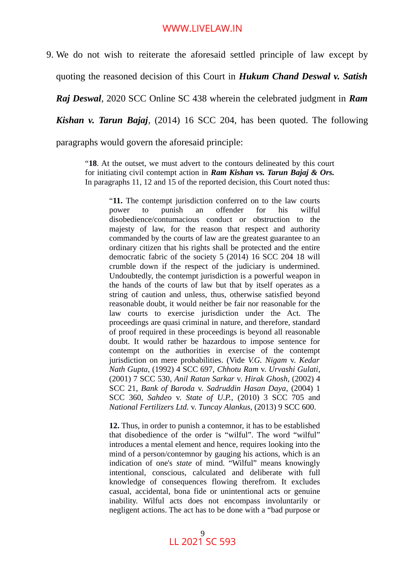9. We do not wish to reiterate the aforesaid settled principle of law except by quoting the reasoned decision of this Court in *Hukum Chand Deswal v. Satish Raj Deswal*, 2020 SCC Online SC 438 wherein the celebrated judgment in *Ram Kishan v. Tarun Bajaj*, (2014) 16 SCC 204, has been quoted. The following paragraphs would govern the aforesaid principle:

> "**18**. At the outset, we must advert to the contours delineated by this court for initiating civil contempt action in *Ram Kishan vs. Tarun Bajaj & Ors.* In paragraphs 11, 12 and 15 of the reported decision, this Court noted thus:

> > "**11.** The contempt jurisdiction conferred on to the law courts power to punish an offender for his wilful disobedience/contumacious conduct or obstruction to the majesty of law, for the reason that respect and authority commanded by the courts of law are the greatest guarantee to an ordinary citizen that his rights shall be protected and the entire democratic fabric of the society 5 (2014) 16 SCC 204 18 will crumble down if the respect of the judiciary is undermined. Undoubtedly, the contempt jurisdiction is a powerful weapon in the hands of the courts of law but that by itself operates as a string of caution and unless, thus, otherwise satisfied beyond reasonable doubt, it would neither be fair nor reasonable for the law courts to exercise jurisdiction under the Act. The proceedings are quasi criminal in nature, and therefore, standard of proof required in these proceedings is beyond all reasonable doubt. It would rather be hazardous to impose sentence for contempt on the authorities in exercise of the contempt jurisdiction on mere probabilities. (Vide *V.G. Nigam* v. *Kedar Nath Gupta*, (1992) 4 SCC 697, *Chhotu Ram* v. *Urvashi Gulati*, (2001) 7 SCC 530, *Anil Ratan Sarkar* v. *Hirak Ghosh*, (2002) 4 SCC 21, *Bank of Baroda* v. *Sadruddin Hasan Daya*, (2004) 1 SCC 360, *Sahdeo* v. *State of U.P.*, (2010) 3 SCC 705 and *National Fertilizers Ltd.* v. *Tuncay Alankus*, (2013) 9 SCC 600.

> > **12.** Thus, in order to punish a contemnor, it has to be established that disobedience of the order is "wilful". The word "wilful" introduces a mental element and hence, requires looking into the mind of a person/contemnor by gauging his actions, which is an indication of one's *state* of mind. "Wilful" means knowingly intentional, conscious, calculated and deliberate with full knowledge of consequences flowing therefrom. It excludes casual, accidental, bona fide or unintentional acts or genuine inability. Wilful acts does not encompass involuntarily or negligent actions. The act has to be done with a "bad purpose or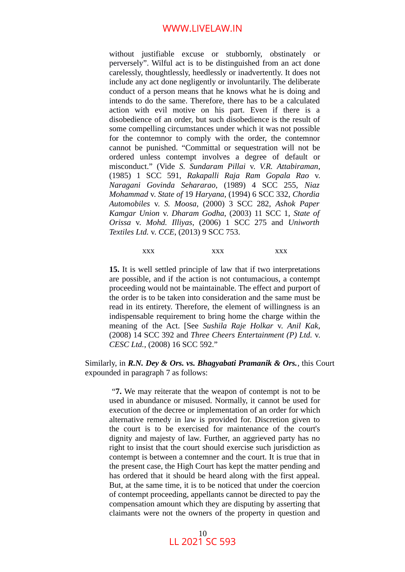without justifiable excuse or stubbornly, obstinately or perversely". Wilful act is to be distinguished from an act done carelessly, thoughtlessly, heedlessly or inadvertently. It does not include any act done negligently or involuntarily. The deliberate conduct of a person means that he knows what he is doing and intends to do the same. Therefore, there has to be a calculated action with evil motive on his part. Even if there is a disobedience of an order, but such disobedience is the result of some compelling circumstances under which it was not possible for the contemnor to comply with the order, the contemnor cannot be punished. "Committal or sequestration will not be ordered unless contempt involves a degree of default or misconduct." (Vide *S. Sundaram Pillai* v. *V.R. Attabiraman*, (1985) 1 SCC 591, *Rakapalli Raja Ram Gopala Rao* v. *Naragani Govinda Sehararao*, (1989) 4 SCC 255, *Niaz Mohammad* v. *State of* 19 *Haryana*, (1994) 6 SCC 332, *Chordia Automobiles* v. *S. Moosa*, (2000) 3 SCC 282, *Ashok Paper Kamgar Union* v. *Dharam Godha*, (2003) 11 SCC 1, *State of Orissa* v. *Mohd. Illiyas*, (2006) 1 SCC 275 and *Uniworth Textiles Ltd.* v. *CCE*, (2013) 9 SCC 753.

xxx xxx xxx xxx

**15.** It is well settled principle of law that if two interpretations are possible, and if the action is not contumacious, a contempt proceeding would not be maintainable. The effect and purport of the order is to be taken into consideration and the same must be read in its entirety. Therefore, the element of willingness is an indispensable requirement to bring home the charge within the meaning of the Act. [See *Sushila Raje Holkar* v. *Anil Kak*, (2008) 14 SCC 392 and *Three Cheers Entertainment (P) Ltd.* v. *CESC Ltd.*, (2008) 16 SCC 592."

Similarly, in *R.N. Dey & Ors. vs. Bhagyabati Pramanik & Ors.*, this Court expounded in paragraph 7 as follows:

"**7.** We may reiterate that the weapon of contempt is not to be used in abundance or misused. Normally, it cannot be used for execution of the decree or implementation of an order for which alternative remedy in law is provided for. Discretion given to the court is to be exercised for maintenance of the court's dignity and majesty of law. Further, an aggrieved party has no right to insist that the court should exercise such jurisdiction as contempt is between a contemner and the court. It is true that in the present case, the High Court has kept the matter pending and has ordered that it should be heard along with the first appeal. But, at the same time, it is to be noticed that under the coercion of contempt proceeding, appellants cannot be directed to pay the compensation amount which they are disputing by asserting that claimants were not the owners of the property in question and

> 10 LL 2021 SC 593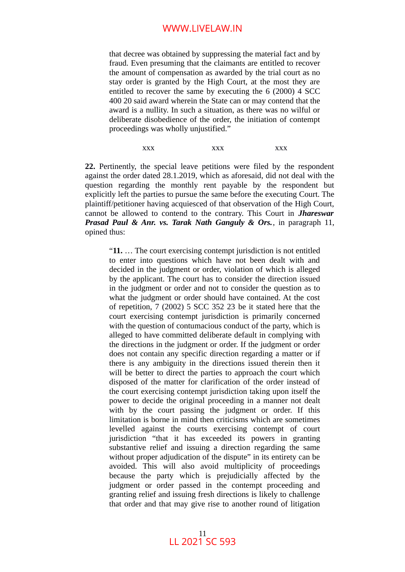that decree was obtained by suppressing the material fact and by fraud. Even presuming that the claimants are entitled to recover the amount of compensation as awarded by the trial court as no stay order is granted by the High Court, at the most they are entitled to recover the same by executing the 6 (2000) 4 SCC 400 20 said award wherein the State can or may contend that the award is a nullity. In such a situation, as there was no wilful or deliberate disobedience of the order, the initiation of contempt proceedings was wholly unjustified."

xxx xxx xxx xxx

**22.** Pertinently, the special leave petitions were filed by the respondent against the order dated 28.1.2019, which as aforesaid, did not deal with the question regarding the monthly rent payable by the respondent but explicitly left the parties to pursue the same before the executing Court. The plaintiff/petitioner having acquiesced of that observation of the High Court, cannot be allowed to contend to the contrary. This Court in *Jhareswar Prasad Paul & Anr. vs. Tarak Nath Ganguly & Ors.*, in paragraph 11, opined thus:

"**11.** … The court exercising contempt jurisdiction is not entitled to enter into questions which have not been dealt with and decided in the judgment or order, violation of which is alleged by the applicant. The court has to consider the direction issued in the judgment or order and not to consider the question as to what the judgment or order should have contained. At the cost of repetition, 7 (2002) 5 SCC 352 23 be it stated here that the court exercising contempt jurisdiction is primarily concerned with the question of contumacious conduct of the party, which is alleged to have committed deliberate default in complying with the directions in the judgment or order. If the judgment or order does not contain any specific direction regarding a matter or if there is any ambiguity in the directions issued therein then it will be better to direct the parties to approach the court which disposed of the matter for clarification of the order instead of the court exercising contempt jurisdiction taking upon itself the power to decide the original proceeding in a manner not dealt with by the court passing the judgment or order. If this limitation is borne in mind then criticisms which are sometimes levelled against the courts exercising contempt of court jurisdiction "that it has exceeded its powers in granting substantive relief and issuing a direction regarding the same without proper adjudication of the dispute" in its entirety can be avoided. This will also avoid multiplicity of proceedings because the party which is prejudicially affected by the judgment or order passed in the contempt proceeding and granting relief and issuing fresh directions is likely to challenge that order and that may give rise to another round of litigation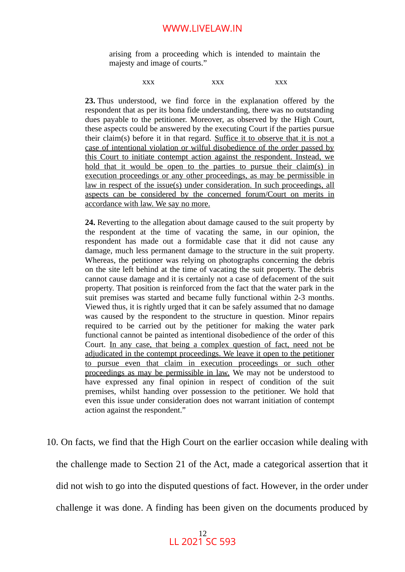arising from a proceeding which is intended to maintain the majesty and image of courts."

xxx xxx xxx xxx

**23.** Thus understood, we find force in the explanation offered by the respondent that as per its bona fide understanding, there was no outstanding dues payable to the petitioner. Moreover, as observed by the High Court, these aspects could be answered by the executing Court if the parties pursue their claim(s) before it in that regard. Suffice it to observe that it is not a case of intentional violation or wilful disobedience of the order passed by this Court to initiate contempt action against the respondent. Instead, we hold that it would be open to the parties to pursue their claim(s) in execution proceedings or any other proceedings, as may be permissible in law in respect of the issue(s) under consideration. In such proceedings, all aspects can be considered by the concerned forum/Court on merits in accordance with law. We say no more.

**24.** Reverting to the allegation about damage caused to the suit property by the respondent at the time of vacating the same, in our opinion, the respondent has made out a formidable case that it did not cause any damage, much less permanent damage to the structure in the suit property. Whereas, the petitioner was relying on photographs concerning the debris on the site left behind at the time of vacating the suit property. The debris cannot cause damage and it is certainly not a case of defacement of the suit property. That position is reinforced from the fact that the water park in the suit premises was started and became fully functional within 2-3 months. Viewed thus, it is rightly urged that it can be safely assumed that no damage was caused by the respondent to the structure in question. Minor repairs required to be carried out by the petitioner for making the water park functional cannot be painted as intentional disobedience of the order of this Court. In any case, that being a complex question of fact, need not be adjudicated in the contempt proceedings. We leave it open to the petitioner to pursue even that claim in execution proceedings or such other proceedings as may be permissible in law. We may not be understood to have expressed any final opinion in respect of condition of the suit premises, whilst handing over possession to the petitioner. We hold that even this issue under consideration does not warrant initiation of contempt action against the respondent."

10. On facts, we find that the High Court on the earlier occasion while dealing with the challenge made to Section 21 of the Act, made a categorical assertion that it did not wish to go into the disputed questions of fact. However, in the order under challenge it was done. A finding has been given on the documents produced by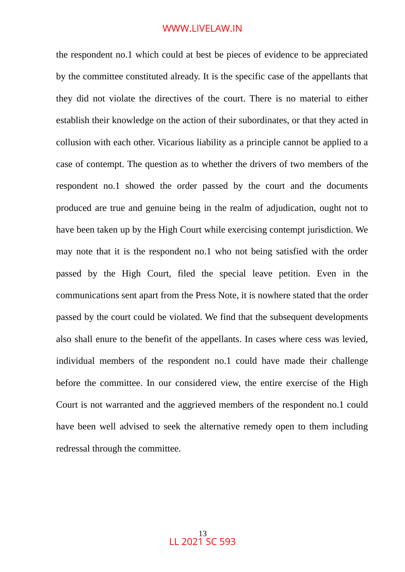the respondent no.1 which could at best be pieces of evidence to be appreciated by the committee constituted already. It is the specific case of the appellants that they did not violate the directives of the court. There is no material to either establish their knowledge on the action of their subordinates, or that they acted in collusion with each other. Vicarious liability as a principle cannot be applied to a case of contempt. The question as to whether the drivers of two members of the respondent no.1 showed the order passed by the court and the documents produced are true and genuine being in the realm of adjudication, ought not to have been taken up by the High Court while exercising contempt jurisdiction. We may note that it is the respondent no.1 who not being satisfied with the order passed by the High Court, filed the special leave petition. Even in the communications sent apart from the Press Note, it is nowhere stated that the order passed by the court could be violated. We find that the subsequent developments also shall enure to the benefit of the appellants. In cases where cess was levied, individual members of the respondent no.1 could have made their challenge before the committee. In our considered view, the entire exercise of the High Court is not warranted and the aggrieved members of the respondent no.1 could have been well advised to seek the alternative remedy open to them including redressal through the committee.